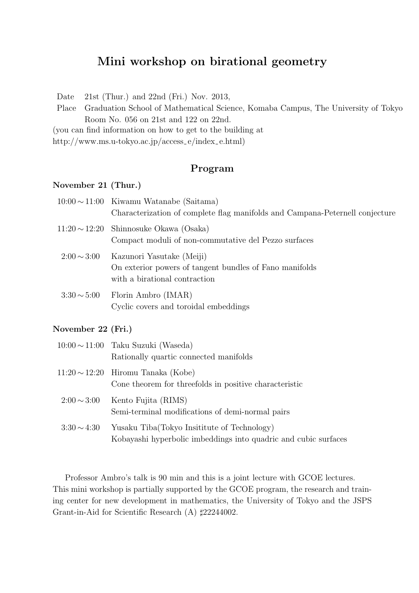## **Mini workshop on birational geometry**

Date 21st (Thur.) and 22nd (Fri.) Nov. 2013,

Place Graduation School of Mathematical Science, Komaba Campus, The University of Tokyo Room No. 056 on 21st and 122 on 22nd.

(you can find information on how to get to the building at

http://www.ms.u-tokyo.ac.jp/access e/index e.html)

## **Program**

## **November 21 (Thur.)**

|                  | $10:00 \sim 11:00$ Kiwamu Watanabe (Saitama)<br>Characterization of complete flag manifolds and Campana-Peternell conjecture |
|------------------|------------------------------------------------------------------------------------------------------------------------------|
|                  | $11:20 \sim 12:20$ Shinnosuke Okawa (Osaka)                                                                                  |
|                  | Compact moduli of non-commutative del Pezzo surfaces<br>$2:00 \sim 3:00$ Kazunori Yasutake (Meiji)                           |
|                  | On exterior powers of tangent bundles of Fano manifolds<br>with a birational contraction                                     |
| $3:30 \sim 5:00$ | Florin Ambro (IMAR)<br>Cyclic covers and toroidal embeddings                                                                 |

## **November 22 (Fri.)**

|                  | $10:00 \sim 11:00$ Taku Suzuki (Waseda)<br>Rationally quartic connected manifolds                              |
|------------------|----------------------------------------------------------------------------------------------------------------|
|                  | $11:20 \sim 12:20$ Hiromu Tanaka (Kobe)<br>Cone theorem for threefolds in positive characteristic              |
| $2:00 \sim 3:00$ | Kento Fujita (RIMS)<br>Semi-terminal modifications of demi-normal pairs                                        |
| $3:30 \sim 4:30$ | Yusaku Tiba(Tokyo Insititute of Technology)<br>Kobayashi hyperbolic imbeddings into quadric and cubic surfaces |

Professor Ambro's talk is 90 min and this is a joint lecture with GCOE lectures. This mini workshop is partially supported by the GCOE program, the research and training center for new development in mathematics, the University of Tokyo and the JSPS Grant-in-Aid for Scientific Research (A) *♯*22244002.